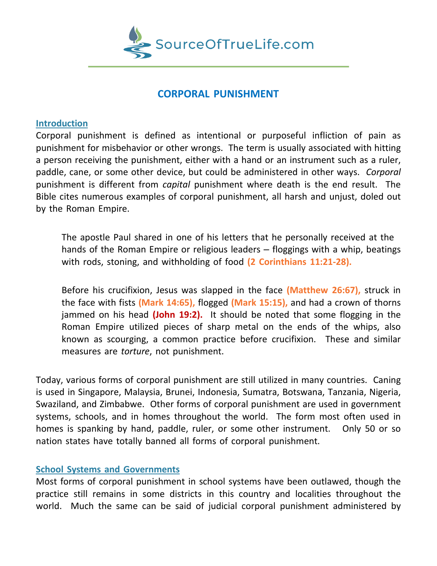

# **CORPORAL PUNISHMENT**

## **Introduction**

Corporal punishment is defined as intentional or purposeful infliction of pain as punishment for misbehavior or other wrongs. The term is usually associated with hitting a person receiving the punishment, either with a hand or an instrument such as a ruler, paddle, cane, or some other device, but could be administered in other ways. *Corporal* punishment is different from *capital* punishment where death is the end result. The Bible cites numerous examples of corporal punishment, all harsh and unjust, doled out by the Roman Empire.

The apostle Paul shared in one of his letters that he personally received at the hands of the Roman Empire or religious leaders – floggings with a whip, beatings with rods, stoning, and withholding of food **(2 Corinthians 11:21-28).**

Before his crucifixion, Jesus was slapped in the face **(Matthew 26:67),** struck in the face with fists **(Mark 14:65),** flogged **(Mark 15:15),** and had a crown of thorns jammed on his head **(John 19:2).** It should be noted that some flogging in the Roman Empire utilized pieces of sharp metal on the ends of the whips, also known as scourging, a common practice before crucifixion. These and similar measures are *torture*, not punishment.

Today, various forms of corporal punishment are still utilized in many countries. Caning is used in Singapore, Malaysia, Brunei, Indonesia, Sumatra, Botswana, Tanzania, Nigeria, Swaziland, and Zimbabwe. Other forms of corporal punishment are used in government systems, schools, and in homes throughout the world. The form most often used in homes is spanking by hand, paddle, ruler, or some other instrument. Only 50 or so nation states have totally banned all forms of corporal punishment.

### **School Systems and Governments**

Most forms of corporal punishment in school systems have been outlawed, though the practice still remains in some districts in this country and localities throughout the world. Much the same can be said of judicial corporal punishment administered by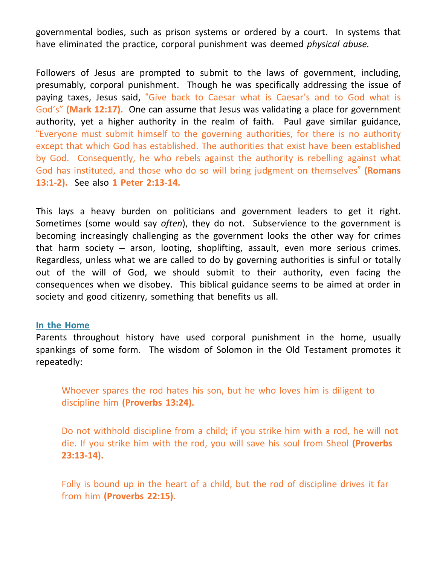governmental bodies, such as prison systems or ordered by a court. In systems that have eliminated the practice, corporal punishment was deemed *physical abuse.*

Followers of Jesus are prompted to submit to the laws of government, including, presumably, corporal punishment. Though he was specifically addressing the issue of paying taxes, Jesus said, "Give back to Caesar what is Caesar's and to God what is God's" **(Mark 12:17).** One can assume that Jesus was validating a place for government authority, yet a higher authority in the realm of faith. Paul gave similar guidance, "Everyone must submit himself to the governing authorities, for there is no authority except that which God has established. The authorities that exist have been established by God. Consequently, he who rebels against the authority is rebelling against what God has instituted, and those who do so will bring judgment on themselves" **(Romans 13:1-2).** See also **1 Peter 2:13-14.**

This lays a heavy burden on politicians and government leaders to get it right. Sometimes (some would say *often*), they do not. Subservience to the government is becoming increasingly challenging as the government looks the other way for crimes that harm society – arson, looting, shoplifting, assault, even more serious crimes. Regardless, unless what we are called to do by governing authorities is sinful or totally out of the will of God, we should submit to their authority, even facing the consequences when we disobey. This biblical guidance seems to be aimed at order in society and good citizenry, something that benefits us all.

#### **In the Home**

Parents throughout history have used corporal punishment in the home, usually spankings of some form. The wisdom of Solomon in the Old Testament promotes it repeatedly:

Whoever spares the rod hates his son, but he who loves him is diligent to discipline him **(Proverbs 13:24).**

Do not withhold discipline from a child; if you strike him with a rod, he will not die. If you strike him with the rod, you will save his soul from Sheol **(Proverbs 23:13-14).**

Folly is bound up in the heart of a child, but the rod of discipline drives it far from him **(Proverbs 22:15).**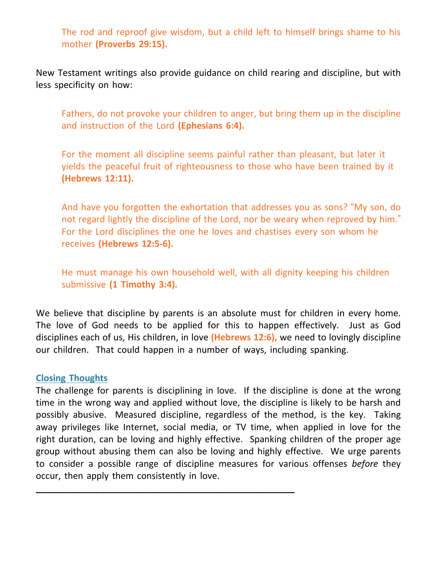The rod and reproof give wisdom, but a child left to himself brings shame to his mother **(Proverbs 29:15).**

New Testament writings also provide guidance on child rearing and discipline, but with less specificity on how:

Fathers, do not provoke your children to anger, but bring them up in the discipline and instruction of the Lord **(Ephesians 6:4).**

For the moment all discipline seems painful rather than pleasant, but later it yields the peaceful fruit of righteousness to those who have been trained by it **(Hebrews 12:11).**

And have you forgotten the exhortation that addresses you as sons? "My son, do not regard lightly the discipline of the Lord, nor be weary when reproved by him." For the Lord disciplines the one he loves and chastises every son whom he receives **(Hebrews 12:5-6).**

He must manage his own household well, with all dignity keeping his children submissive **(1 Timothy 3:4).**

We believe that discipline by parents is an absolute must for children in every home. The love of God needs to be applied for this to happen effectively. Just as God disciplines each of us, His children, in love **(Hebrews 12:6),** we need to lovingly discipline our children. That could happen in a number of ways, including spanking.

#### **Closing Thoughts**

The challenge for parents is disciplining in love. If the discipline is done at the wrong time in the wrong way and applied without love, the discipline is likely to be harsh and possibly abusive. Measured discipline, regardless of the method, is the key. Taking away privileges like Internet, social media, or TV time, when applied in love for the right duration, can be loving and highly effective. Spanking children of the proper age group without abusing them can also be loving and highly effective. We urge parents to consider a possible range of discipline measures for various offenses *before* they occur, then apply them consistently in love.

**\_\_\_\_\_\_\_\_\_\_\_\_\_\_\_\_\_\_\_\_\_\_\_\_\_\_\_\_\_\_\_\_\_\_\_\_\_\_\_\_\_\_\_\_\_\_\_\_\_\_\_\_**